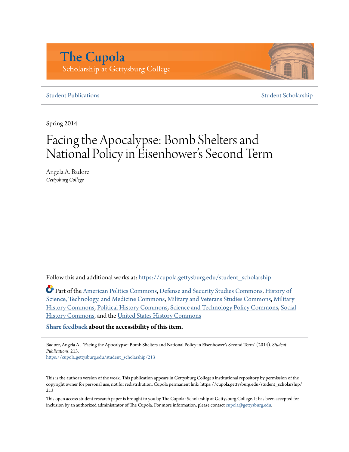## **The Cupola** Scholarship at Gettysburg College

#### **[Student Publications](https://cupola.gettysburg.edu/student_scholarship?utm_source=cupola.gettysburg.edu%2Fstudent_scholarship%2F213&utm_medium=PDF&utm_campaign=PDFCoverPages)** [Student Scholarship](https://cupola.gettysburg.edu/student?utm_source=cupola.gettysburg.edu%2Fstudent_scholarship%2F213&utm_medium=PDF&utm_campaign=PDFCoverPages)

Spring 2014

# Facing the Apocalypse: Bomb Shelters and National Policy in Eisenhower 's Second Term

Angela A. Badore *Gettysburg College*

Follow this and additional works at: [https://cupola.gettysburg.edu/student\\_scholarship](https://cupola.gettysburg.edu/student_scholarship?utm_source=cupola.gettysburg.edu%2Fstudent_scholarship%2F213&utm_medium=PDF&utm_campaign=PDFCoverPages)

Part of the [American Politics Commons](http://network.bepress.com/hgg/discipline/387?utm_source=cupola.gettysburg.edu%2Fstudent_scholarship%2F213&utm_medium=PDF&utm_campaign=PDFCoverPages), [Defense and Security Studies Commons,](http://network.bepress.com/hgg/discipline/394?utm_source=cupola.gettysburg.edu%2Fstudent_scholarship%2F213&utm_medium=PDF&utm_campaign=PDFCoverPages) [History of](http://network.bepress.com/hgg/discipline/500?utm_source=cupola.gettysburg.edu%2Fstudent_scholarship%2F213&utm_medium=PDF&utm_campaign=PDFCoverPages) [Science, Technology, and Medicine Commons](http://network.bepress.com/hgg/discipline/500?utm_source=cupola.gettysburg.edu%2Fstudent_scholarship%2F213&utm_medium=PDF&utm_campaign=PDFCoverPages), [Military and Veterans Studies Commons,](http://network.bepress.com/hgg/discipline/396?utm_source=cupola.gettysburg.edu%2Fstudent_scholarship%2F213&utm_medium=PDF&utm_campaign=PDFCoverPages) [Military](http://network.bepress.com/hgg/discipline/504?utm_source=cupola.gettysburg.edu%2Fstudent_scholarship%2F213&utm_medium=PDF&utm_campaign=PDFCoverPages) [History Commons,](http://network.bepress.com/hgg/discipline/504?utm_source=cupola.gettysburg.edu%2Fstudent_scholarship%2F213&utm_medium=PDF&utm_campaign=PDFCoverPages) [Political History Commons,](http://network.bepress.com/hgg/discipline/505?utm_source=cupola.gettysburg.edu%2Fstudent_scholarship%2F213&utm_medium=PDF&utm_campaign=PDFCoverPages) [Science and Technology Policy Commons,](http://network.bepress.com/hgg/discipline/1029?utm_source=cupola.gettysburg.edu%2Fstudent_scholarship%2F213&utm_medium=PDF&utm_campaign=PDFCoverPages) [Social](http://network.bepress.com/hgg/discipline/506?utm_source=cupola.gettysburg.edu%2Fstudent_scholarship%2F213&utm_medium=PDF&utm_campaign=PDFCoverPages) [History Commons,](http://network.bepress.com/hgg/discipline/506?utm_source=cupola.gettysburg.edu%2Fstudent_scholarship%2F213&utm_medium=PDF&utm_campaign=PDFCoverPages) and the [United States History Commons](http://network.bepress.com/hgg/discipline/495?utm_source=cupola.gettysburg.edu%2Fstudent_scholarship%2F213&utm_medium=PDF&utm_campaign=PDFCoverPages)

**[Share feedback](https://docs.google.com/a/bepress.com/forms/d/1h9eEcpBPj5POs5oO6Y5A0blXRmZqykoonyYiZUNyEq8/viewform) about the accessibility of this item.**

Badore, Angela A., "Facing the Apocalypse: Bomb Shelters and National Policy in Eisenhower's Second Term" (2014). *Student Publications*. 213.

[https://cupola.gettysburg.edu/student\\_scholarship/213](https://cupola.gettysburg.edu/student_scholarship/213?utm_source=cupola.gettysburg.edu%2Fstudent_scholarship%2F213&utm_medium=PDF&utm_campaign=PDFCoverPages)

This is the author's version of the work. This publication appears in Gettysburg College's institutional repository by permission of the copyright owner for personal use, not for redistribution. Cupola permanent link: https://cupola.gettysburg.edu/student\_scholarship/ 213

This open access student research paper is brought to you by The Cupola: Scholarship at Gettysburg College. It has been accepted for inclusion by an authorized administrator of The Cupola. For more information, please contact [cupola@gettysburg.edu.](mailto:cupola@gettysburg.edu)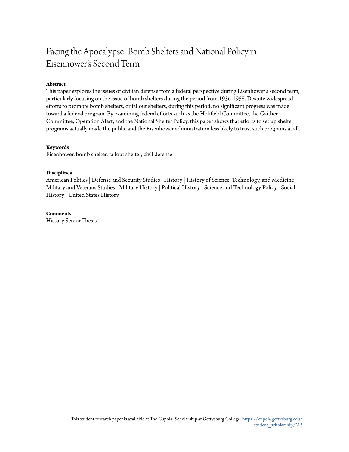### Facing the Apocalypse: Bomb Shelters and National Policy in Eisenhower's Second Term

#### **Abstract**

This paper explores the issues of civilian defense from a federal perspective during Eisenhower's second term, particularly focusing on the issue of bomb shelters during the period from 1956-1958. Despite widespread efforts to promote bomb shelters, or fallout shelters, during this period, no significant progress was made toward a federal program. By examining federal efforts such as the Holifield Committee, the Gaither Committee, Operation Alert, and the National Shelter Policy, this paper shows that efforts to set up shelter programs actually made the public and the Eisenhower administration less likely to trust such programs at all.

#### **Keywords**

Eisenhower, bomb shelter, fallout shelter, civil defense

#### **Disciplines**

American Politics | Defense and Security Studies | History | History of Science, Technology, and Medicine | Military and Veterans Studies | Military History | Political History | Science and Technology Policy | Social History | United States History

#### **Comments**

History Senior Thesis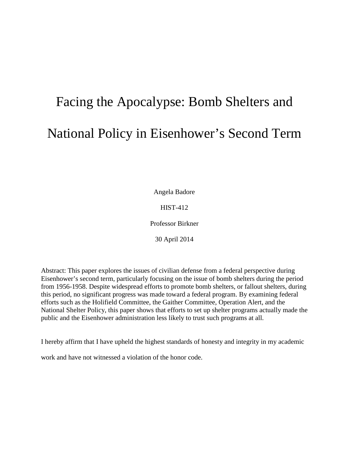# Facing the Apocalypse: Bomb Shelters and National Policy in Eisenhower's Second Term

Angela Badore

HIST-412

Professor Birkner

30 April 2014

Abstract: This paper explores the issues of civilian defense from a federal perspective during Eisenhower's second term, particularly focusing on the issue of bomb shelters during the period from 1956-1958. Despite widespread efforts to promote bomb shelters, or fallout shelters, during this period, no significant progress was made toward a federal program. By examining federal efforts such as the Holifield Committee, the Gaither Committee, Operation Alert, and the National Shelter Policy, this paper shows that efforts to set up shelter programs actually made the public and the Eisenhower administration less likely to trust such programs at all.

I hereby affirm that I have upheld the highest standards of honesty and integrity in my academic

work and have not witnessed a violation of the honor code.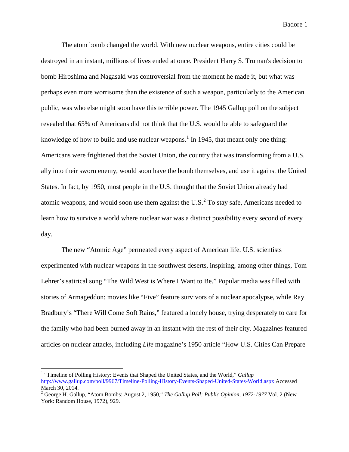The atom bomb changed the world. With new nuclear weapons, entire cities could be destroyed in an instant, millions of lives ended at once. President Harry S. Truman's decision to bomb Hiroshima and Nagasaki was controversial from the moment he made it, but what was perhaps even more worrisome than the existence of such a weapon, particularly to the American public, was who else might soon have this terrible power. The 1945 Gallup poll on the subject revealed that 65% of Americans did not think that the U.S. would be able to safeguard the knowledge of how to build and use nuclear weapons.<sup>[1](#page-3-0)</sup> In 1945, that meant only one thing: Americans were frightened that the Soviet Union, the country that was transforming from a U.S. ally into their sworn enemy, would soon have the bomb themselves, and use it against the United States. In fact, by 1950, most people in the U.S. thought that the Soviet Union already had atomic weapons, and would soon use them against the U.S. $<sup>2</sup>$  $<sup>2</sup>$  $<sup>2</sup>$  To stay safe, Americans needed to</sup> learn how to survive a world where nuclear war was a distinct possibility every second of every day.

The new "Atomic Age" permeated every aspect of American life. U.S. scientists experimented with nuclear weapons in the southwest deserts, inspiring, among other things, Tom Lehrer's satirical song "The Wild West is Where I Want to Be." Popular media was filled with stories of Armageddon: movies like "Five" feature survivors of a nuclear apocalypse, while Ray Bradbury's "There Will Come Soft Rains," featured a lonely house, trying desperately to care for the family who had been burned away in an instant with the rest of their city. Magazines featured articles on nuclear attacks, including *Life* magazine's 1950 article "How U.S. Cities Can Prepare

<span id="page-3-0"></span> <sup>1</sup> "Timeline of Polling History: Events that Shaped the United States, and the World," *Gallup* <http://www.gallup.com/poll/9967/Timeline-Polling-History-Events-Shaped-United-States-World.aspx> Accessed March 30, 2014.

<span id="page-3-1"></span><sup>2</sup> George H. Gallup, "Atom Bombs: August 2, 1950," *The Gallup Poll: Public Opinion, 1972-1977* Vol. 2 (New York: Random House, 1972), 929.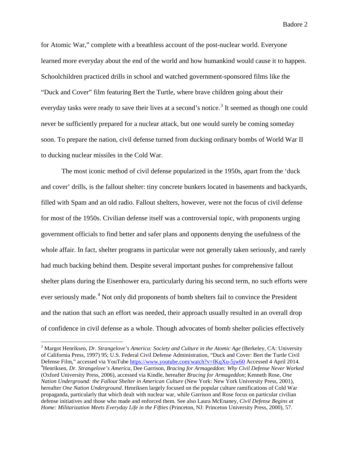for Atomic War," complete with a breathless account of the post-nuclear world. Everyone learned more everyday about the end of the world and how humankind would cause it to happen. Schoolchildren practiced drills in school and watched government-sponsored films like the "Duck and Cover" film featuring Bert the Turtle, where brave children going about their everyday tasks were ready to save their lives at a second's notice.<sup>[3](#page-4-0)</sup> It seemed as though one could never be sufficiently prepared for a nuclear attack, but one would surely be coming someday soon. To prepare the nation, civil defense turned from ducking ordinary bombs of World War II to ducking nuclear missiles in the Cold War.

The most iconic method of civil defense popularized in the 1950s, apart from the 'duck and cover' drills, is the fallout shelter: tiny concrete bunkers located in basements and backyards, filled with Spam and an old radio. Fallout shelters, however, were not the focus of civil defense for most of the 1950s. Civilian defense itself was a controversial topic, with proponents urging government officials to find better and safer plans and opponents denying the usefulness of the whole affair. In fact, shelter programs in particular were not generally taken seriously, and rarely had much backing behind them. Despite several important pushes for comprehensive fallout shelter plans during the Eisenhower era, particularly during his second term, no such efforts were ever seriously made.<sup>[4](#page-4-1)</sup> Not only did proponents of bomb shelters fail to convince the President and the nation that such an effort was needed, their approach usually resulted in an overall drop of confidence in civil defense as a whole. Though advocates of bomb shelter policies effectively

<span id="page-4-1"></span><span id="page-4-0"></span> <sup>3</sup> Margot Henriksen, *Dr. Strangelove's America: Society and Culture in the Atomic Age* (Berkeley, CA: University of California Press, 1997) 95; U.S. Federal Civil Defense Administration, "Duck and Cover: Bert the Turtle Civil Defense Film," accessed via YouTube<https://www.youtube.com/watch?v=IKqXu-5jw60> Accessed 4 April 2014. Henriksen, *Dr. Strangelove's America*, Dee Garrison, *Bracing for Armageddon: Why Civil Defense Never Worked* (Oxford University Press, 2006), accessed via Kindle, hereafter *Bracing for Armageddon*; Kenneth Rose, *One Nation Underground: the Fallout Shelter in American Culture* (New York: New York University Press, 2001), hereafter *One Nation Underground*. Henriksen largely focused on the popular culture ramifications of Cold War propaganda, particularly that which dealt with nuclear war, while Garrison and Rose focus on particular civilian defense initiatives and those who made and enforced them. See also Laura McEnaney, *Civil Defense Begins at Home: Militarization Meets Everyday Life in the Fifties* (Princeton, NJ: Princeton University Press, 2000), 57.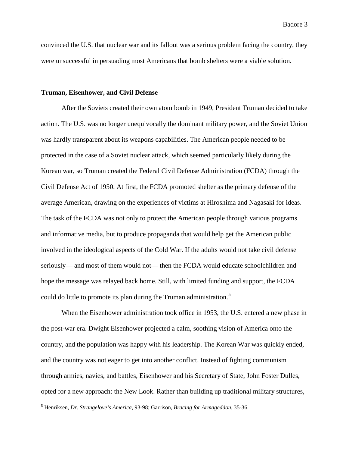convinced the U.S. that nuclear war and its fallout was a serious problem facing the country, they were unsuccessful in persuading most Americans that bomb shelters were a viable solution.

#### **Truman, Eisenhower, and Civil Defense**

After the Soviets created their own atom bomb in 1949, President Truman decided to take action. The U.S. was no longer unequivocally the dominant military power, and the Soviet Union was hardly transparent about its weapons capabilities. The American people needed to be protected in the case of a Soviet nuclear attack, which seemed particularly likely during the Korean war, so Truman created the Federal Civil Defense Administration (FCDA) through the Civil Defense Act of 1950. At first, the FCDA promoted shelter as the primary defense of the average American, drawing on the experiences of victims at Hiroshima and Nagasaki for ideas. The task of the FCDA was not only to protect the American people through various programs and informative media, but to produce propaganda that would help get the American public involved in the ideological aspects of the Cold War. If the adults would not take civil defense seriously— and most of them would not— then the FCDA would educate schoolchildren and hope the message was relayed back home. Still, with limited funding and support, the FCDA could do little to promote its plan during the Truman administration.<sup>[5](#page-5-0)</sup>

When the Eisenhower administration took office in 1953, the U.S. entered a new phase in the post-war era. Dwight Eisenhower projected a calm, soothing vision of America onto the country, and the population was happy with his leadership. The Korean War was quickly ended, and the country was not eager to get into another conflict. Instead of fighting communism through armies, navies, and battles, Eisenhower and his Secretary of State, John Foster Dulles, opted for a new approach: the New Look. Rather than building up traditional military structures,

<span id="page-5-0"></span> <sup>5</sup> Henriksen, *Dr. Strangelove's America*, 93-98; Garrison, *Bracing for Armageddon*, 35-36.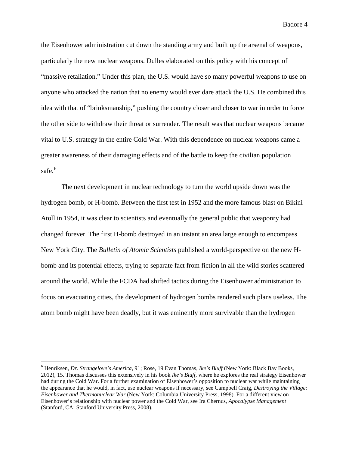the Eisenhower administration cut down the standing army and built up the arsenal of weapons, particularly the new nuclear weapons. Dulles elaborated on this policy with his concept of "massive retaliation." Under this plan, the U.S. would have so many powerful weapons to use on anyone who attacked the nation that no enemy would ever dare attack the U.S. He combined this idea with that of "brinksmanship," pushing the country closer and closer to war in order to force the other side to withdraw their threat or surrender. The result was that nuclear weapons became vital to U.S. strategy in the entire Cold War. With this dependence on nuclear weapons came a greater awareness of their damaging effects and of the battle to keep the civilian population safe.<sup>[6](#page-6-0)</sup>

The next development in nuclear technology to turn the world upside down was the hydrogen bomb, or H-bomb. Between the first test in 1952 and the more famous blast on Bikini Atoll in 1954, it was clear to scientists and eventually the general public that weaponry had changed forever. The first H-bomb destroyed in an instant an area large enough to encompass New York City. The *Bulletin of Atomic Scientists* published a world-perspective on the new Hbomb and its potential effects, trying to separate fact from fiction in all the wild stories scattered around the world. While the FCDA had shifted tactics during the Eisenhower administration to focus on evacuating cities, the development of hydrogen bombs rendered such plans useless. The atom bomb might have been deadly, but it was eminently more survivable than the hydrogen

<span id="page-6-0"></span> <sup>6</sup> Henriksen, *Dr. Strangelove's America*, 91; Rose, 19 Evan Thomas, *Ike's Bluff* (New York: Black Bay Books, 2012), 15. Thomas discusses this extensively in his book *Ike's Bluff*, where he explores the real strategy Eisenhower had during the Cold War. For a further examination of Eisenhower's opposition to nuclear war while maintaining the appearance that he would, in fact, use nuclear weapons if necessary, see Campbell Craig, *Destroying the Village: Eisenhower and Thermonuclear War* (New York: Columbia University Press, 1998). For a different view on Eisenhower's relationship with nuclear power and the Cold War, see Ira Chernus, *Apocalypse Management* (Stanford, CA: Stanford University Press, 2008).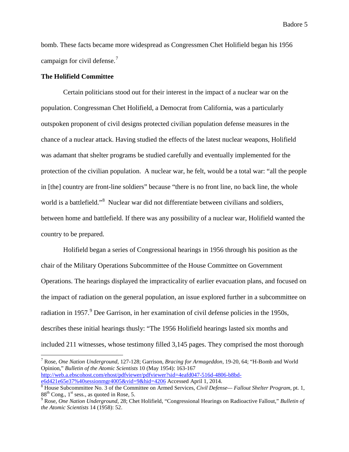bomb. These facts became more widespread as Congressmen Chet Holifield began his 1956 campaign for civil defense.<sup>[7](#page-7-0)</sup>

#### **The Holifield Committee**

Certain politicians stood out for their interest in the impact of a nuclear war on the population. Congressman Chet Holifield, a Democrat from California, was a particularly outspoken proponent of civil designs protected civilian population defense measures in the chance of a nuclear attack. Having studied the effects of the latest nuclear weapons, Holifield was adamant that shelter programs be studied carefully and eventually implemented for the protection of the civilian population. A nuclear war, he felt, would be a total war: "all the people in [the] country are front-line soldiers" because "there is no front line, no back line, the whole world is a battlefield."<sup>[8](#page-7-1)</sup> Nuclear war did not differentiate between civilians and soldiers, between home and battlefield. If there was any possibility of a nuclear war, Holifield wanted the country to be prepared.

Holifield began a series of Congressional hearings in 1956 through his position as the chair of the Military Operations Subcommittee of the House Committee on Government Operations. The hearings displayed the impracticality of earlier evacuation plans, and focused on the impact of radiation on the general population, an issue explored further in a subcommittee on radiation in 1[9](#page-7-2)57.<sup>9</sup> Dee Garrison, in her examination of civil defense policies in the 1950s, describes these initial hearings thusly: "The 1956 Holifield hearings lasted six months and included 211 witnesses, whose testimony filled 3,145 pages. They comprised the most thorough

<span id="page-7-0"></span> 7 Rose, *One Nation Underground*, 127-128; Garrison, *Bracing for Armageddon*, 19-20, 64; "H-Bomb and World Opinion," *Bulletin of the Atomic Scientists* 10 (May 1954): 163-167 http://web.a.ebscohost.com/ehost/pdfviewer/pdfviewer?sid=4eafd047-516d-4806-b8bd-e6d421e65e37%40sessionmgr4005&vid=9&hid=4206 Accessed April 1, 2014.

<span id="page-7-1"></span><sup>&</sup>lt;sup>[8](http://web.a.ebscohost.com/ehost/pdfviewer/pdfviewer?sid=4eafd047-516d-4806-b8bd-e6d421e65e37%40sessionmgr4005&vid=9&hid=4206)</sup> House Subcommittee No. 3 of the Committee on Armed Services, *Civil Defense— Fallout Shelter Program*, pt. 1, 88<sup>th</sup> Cong., 1<sup>st</sup> sess., as quoted in Rose, 5.<br><sup>9</sup> Rose, *One Nation Underground*, 28; Chet Holifield, "Congressional Hearings on Radioactive Fallout," *Bulletin of* 

<span id="page-7-2"></span>*the Atomic Scientists* 14 (1958): 52.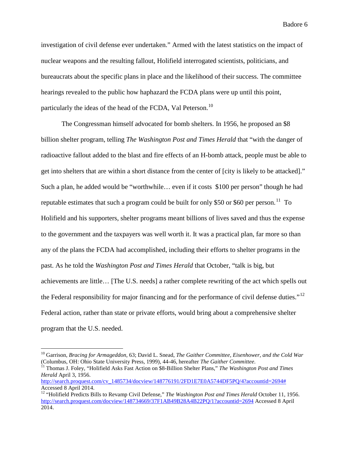investigation of civil defense ever undertaken." Armed with the latest statistics on the impact of nuclear weapons and the resulting fallout, Holifield interrogated scientists, politicians, and bureaucrats about the specific plans in place and the likelihood of their success. The committee hearings revealed to the public how haphazard the FCDA plans were up until this point, particularly the ideas of the head of the FCDA, Val Peterson.<sup>[10](#page-8-0)</sup>

The Congressman himself advocated for bomb shelters. In 1956, he proposed an \$8 billion shelter program, telling *The Washington Post and Times Herald* that "with the danger of radioactive fallout added to the blast and fire effects of an H-bomb attack, people must be able to get into shelters that are within a short distance from the center of [city is likely to be attacked]." Such a plan, he added would be "worthwhile… even if it costs \$100 per person" though he had reputable estimates that such a program could be built for only \$50 or \$60 per person.<sup>[11](#page-8-1)</sup> To Holifield and his supporters, shelter programs meant billions of lives saved and thus the expense to the government and the taxpayers was well worth it. It was a practical plan, far more so than any of the plans the FCDA had accomplished, including their efforts to shelter programs in the past. As he told the *Washington Post and Times Herald* that October, "talk is big, but achievements are little… [The U.S. needs] a rather complete rewriting of the act which spells out the Federal responsibility for major financing and for the performance of civil defense duties."<sup>12</sup> Federal action, rather than state or private efforts, would bring about a comprehensive shelter program that the U.S. needed.

<span id="page-8-0"></span><sup>&</sup>lt;sup>10</sup> Garrison, *Bracing for Armageddon*, 63; David L. Snead, *The Gaither Committee, Eisenhower, and the Cold War* (Columbus, OH: Ohio State University Press, 1999), 44-46, hereafter *The Gaither Committee*.

<span id="page-8-1"></span><sup>&</sup>lt;sup>11</sup> Thomas J. Foley, "Holifield Asks Fast Action on \$8-Billion Shelter Plans," *The Washington Post and Times Herald* April 3, 1956.

http://search.proquest.com/cv\_1485734/docview/148776191/2FD1E7E0A5744DF5PO/4?accountid=2694# Accessed 8 April 2014.

<span id="page-8-2"></span><sup>&</sup>lt;sup>12</sup> "Holifield Predicts Bills to Revamp Civil Defense," *The Washington Post and Times Herald* October 11, 1956. <http://search.proquest.com/docview/148734669/37F1AB49B28A4B22PQ/1?accountid=2694> Accessed 8 April 2014.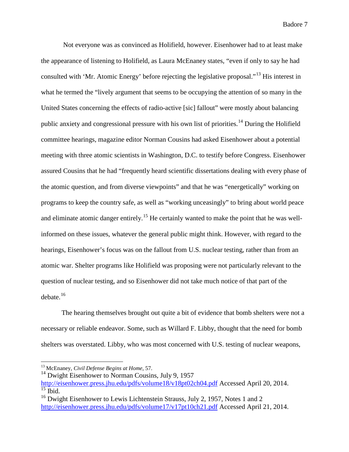Not everyone was as convinced as Holifield, however. Eisenhower had to at least make the appearance of listening to Holifield, as Laura McEnaney states, "even if only to say he had consulted with 'Mr. Atomic Energy' before rejecting the legislative proposal."[13](#page-9-0) His interest in what he termed the "lively argument that seems to be occupying the attention of so many in the United States concerning the effects of radio-active [sic] fallout" were mostly about balancing public anxiety and congressional pressure with his own list of priorities.<sup>[14](#page-9-1)</sup> During the Holifield committee hearings, magazine editor Norman Cousins had asked Eisenhower about a potential meeting with three atomic scientists in Washington, D.C. to testify before Congress. Eisenhower assured Cousins that he had "frequently heard scientific dissertations dealing with every phase of the atomic question, and from diverse viewpoints" and that he was "energetically" working on programs to keep the country safe, as well as "working unceasingly" to bring about world peace and eliminate atomic danger entirely.<sup>[15](#page-9-2)</sup> He certainly wanted to make the point that he was wellinformed on these issues, whatever the general public might think. However, with regard to the hearings, Eisenhower's focus was on the fallout from U.S. nuclear testing, rather than from an atomic war. Shelter programs like Holifield was proposing were not particularly relevant to the question of nuclear testing, and so Eisenhower did not take much notice of that part of the debate. $16$ 

The hearing themselves brought out quite a bit of evidence that bomb shelters were not a necessary or reliable endeavor. Some, such as Willard F. Libby, thought that the need for bomb shelters was overstated. Libby, who was most concerned with U.S. testing of nuclear weapons,

<span id="page-9-0"></span> <sup>13</sup> McEnaney, *Civil Defense Begins at Home*, 57.

 $14$  Dwight Eisenhower to Norman Cousins, July 9, 1957

<span id="page-9-2"></span><span id="page-9-1"></span><http://eisenhower.press.jhu.edu/pdfs/volume18/v18pt02ch04.pdf> Accessed April 20, 2014.  $\overline{\frac{15}{15}}$  Ibid.

<span id="page-9-3"></span><sup>&</sup>lt;sup>16</sup> Dwight Eisenhower to Lewis Lichtenstein Strauss, July 2, 1957, Notes 1 and 2 <http://eisenhower.press.jhu.edu/pdfs/volume17/v17pt10ch21.pdf> Accessed April 21, 2014.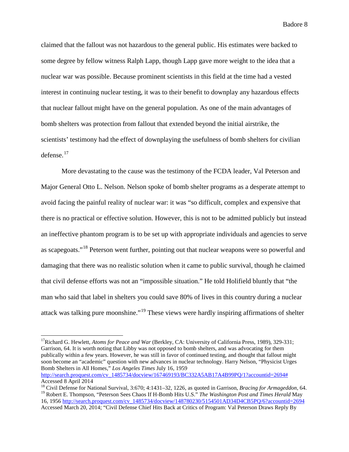claimed that the fallout was not hazardous to the general public. His estimates were backed to some degree by fellow witness Ralph Lapp, though Lapp gave more weight to the idea that a nuclear war was possible. Because prominent scientists in this field at the time had a vested interest in continuing nuclear testing, it was to their benefit to downplay any hazardous effects that nuclear fallout might have on the general population. As one of the main advantages of bomb shelters was protection from fallout that extended beyond the initial airstrike, the scientists' testimony had the effect of downplaying the usefulness of bomb shelters for civilian  $defense.<sup>17</sup>$  $defense.<sup>17</sup>$  $defense.<sup>17</sup>$ 

More devastating to the cause was the testimony of the FCDA leader, Val Peterson and Major General Otto L. Nelson. Nelson spoke of bomb shelter programs as a desperate attempt to avoid facing the painful reality of nuclear war: it was "so difficult, complex and expensive that there is no practical or effective solution. However, this is not to be admitted publicly but instead an ineffective phantom program is to be set up with appropriate individuals and agencies to serve as scapegoats."[18](#page-10-1) Peterson went further, pointing out that nuclear weapons were so powerful and damaging that there was no realistic solution when it came to public survival, though he claimed that civil defense efforts was not an "impossible situation." He told Holifield bluntly that "the man who said that label in shelters you could save 80% of lives in this country during a nuclear attack was talking pure moonshine."[19](#page-10-2) These views were hardly inspiring affirmations of shelter

<span id="page-10-0"></span><sup>&</sup>lt;sup>17</sup>Richard G. Hewlett, *Atoms for Peace and War* (Berkley, CA: University of California Press, 1989), 329-331; Garrison, 64. It is worth noting that Libby was not opposed to bomb shelters, and was advocating for them publically within a few years. However, he was still in favor of continued testing, and thought that fallout might soon become an "academic" question with new advances in nuclear technology. Harry Nelson, "Physicist Urges Bomb Shelters in All Homes," *Los Angeles Times* July 16, 1959 [http://search.proquest.com/cv\\_1485734/docview/167469193/BC332A5AB17A4B99PQ/1?accountid=2694#](http://search.proquest.com/cv_1485734/docview/167469193/BC332A5AB17A4B99PQ/1?accountid=2694)

Accessed 8 April 2014

<span id="page-10-2"></span><span id="page-10-1"></span><sup>18</sup> Civil Defense for National Survival, 3:670; 4:1431–32, 1226, as quoted in Garrison, *Bracing for Armageddon*, 64. <sup>19</sup> Robert E. Thompson, "Peterson Sees Chaos If H-Bomb Hits U.S." *The Washington Post and Times Herald* May 16, 195[6 http://search.proquest.com/cv\\_1485734/docview/148780230/5154501AD34D4CB5PQ/6?accountid=2694](http://search.proquest.com/cv_1485734/docview/148780230/5154501AD34D4CB5PQ/6?accountid=2694) Accessed March 20, 2014; "Civil Defense Chief Hits Back at Critics of Program: Val Peterson Draws Reply By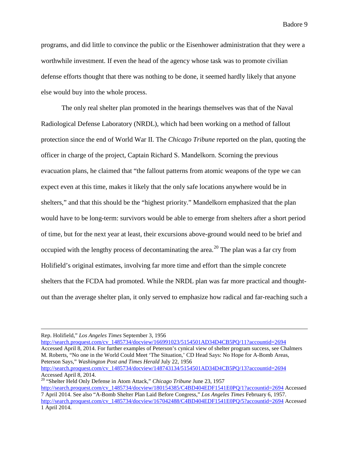programs, and did little to convince the public or the Eisenhower administration that they were a worthwhile investment. If even the head of the agency whose task was to promote civilian defense efforts thought that there was nothing to be done, it seemed hardly likely that anyone else would buy into the whole process.

The only real shelter plan promoted in the hearings themselves was that of the Naval Radiological Defense Laboratory (NRDL), which had been working on a method of fallout protection since the end of World War II. The *Chicago Tribune* reported on the plan, quoting the officer in charge of the project, Captain Richard S. Mandelkorn. Scorning the previous evacuation plans, he claimed that "the fallout patterns from atomic weapons of the type we can expect even at this time, makes it likely that the only safe locations anywhere would be in shelters," and that this should be the "highest priority." Mandelkorn emphasized that the plan would have to be long-term: survivors would be able to emerge from shelters after a short period of time, but for the next year at least, their excursions above-ground would need to be brief and occupied with the lengthy process of decontaminating the area.<sup>[20](#page-11-0)</sup> The plan was a far cry from Holifield's original estimates, involving far more time and effort than the simple concrete shelters that the FCDA had promoted. While the NRDL plan was far more practical and thoughtout than the average shelter plan, it only served to emphasize how radical and far-reaching such a

Rep. Holifield," *Los Angeles Times* September 3, 1956

 $\overline{a}$ 

[http://search.proquest.com/cv\\_1485734/docview/166991023/5154501AD34D4CB5PQ/11?accountid=2694](http://search.proquest.com/cv_1485734/docview/166991023/5154501AD34D4CB5PQ/11?accountid=2694) Accessed April 8, 2014. For further examples of Peterson's cynical view of shelter program success, see Chalmers M. Roberts, "No one in the World Could Meet 'The Situation,' CD Head Says: No Hope for A-Bomb Areas, Peterson Says," *Washington Post and Times Herald* July 22, 1956 [http://search.proquest.com/cv\\_1485734/docview/148743134/5154501AD34D4CB5PQ/13?accountid=2694](http://search.proquest.com/cv_1485734/docview/148743134/5154501AD34D4CB5PQ/13?accountid=2694)

Accessed April 8, 2014. <sup>20</sup> "Shelter Held Only Defense in Atom Attack," *Chicago Tribune* June 23, 1957

<span id="page-11-0"></span>[http://search.proquest.com/cv\\_1485734/docview/180154385/C4BD404EDF1541E0PQ/1?accountid=2694](http://search.proquest.com/cv_1485734/docview/180154385/C4BD404EDF1541E0PQ/1?accountid=2694) Accessed 7 April 2014. See also "A-Bomb Shelter Plan Laid Before Congress," *Los Angeles Times* February 6, 1957. [http://search.proquest.com/cv\\_1485734/docview/167042488/C4BD404EDF1541E0PQ/5?accountid=2694](http://search.proquest.com/cv_1485734/docview/167042488/C4BD404EDF1541E0PQ/5?accountid=2694) Accessed 1 April 2014.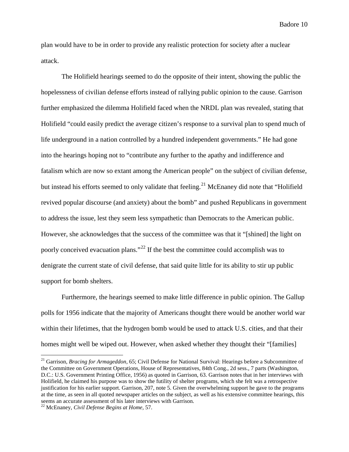plan would have to be in order to provide any realistic protection for society after a nuclear attack.

The Holifield hearings seemed to do the opposite of their intent, showing the public the hopelessness of civilian defense efforts instead of rallying public opinion to the cause. Garrison further emphasized the dilemma Holifield faced when the NRDL plan was revealed, stating that Holifield "could easily predict the average citizen's response to a survival plan to spend much of life underground in a nation controlled by a hundred independent governments." He had gone into the hearings hoping not to "contribute any further to the apathy and indifference and fatalism which are now so extant among the American people" on the subject of civilian defense, but instead his efforts seemed to only validate that feeling.<sup>[21](#page-12-0)</sup> McEnaney did note that "Holifield" revived popular discourse (and anxiety) about the bomb" and pushed Republicans in government to address the issue, lest they seem less sympathetic than Democrats to the American public. However, she acknowledges that the success of the committee was that it "[shined] the light on poorly conceived evacuation plans."[22](#page-12-1) If the best the committee could accomplish was to denigrate the current state of civil defense, that said quite little for its ability to stir up public support for bomb shelters.

Furthermore, the hearings seemed to make little difference in public opinion. The Gallup polls for 1956 indicate that the majority of Americans thought there would be another world war within their lifetimes, that the hydrogen bomb would be used to attack U.S. cities, and that their homes might well be wiped out. However, when asked whether they thought their "[families]

<span id="page-12-0"></span><sup>&</sup>lt;sup>21</sup> Garrison, *Bracing for Armageddon*, 65; Civil Defense for National Survival: Hearings before a Subcommittee of the Committee on Government Operations, House of Representatives, 84th Cong., 2d sess., 7 parts (Washington, D.C.: U.S. Government Printing Office, 1956) as quoted in Garrison, 63. Garrison notes that in her interviews with Holifield, he claimed his purpose was to show the futility of shelter programs, which she felt was a retrospective justification for his earlier support. Garrison, 207, note 5. Given the overwhelming support he gave to the programs at the time, as seen in all quoted newspaper articles on the subject, as well as his extensive committee hearings, this seems an accurate assessment of his later interviews with Garrison.

<span id="page-12-1"></span><sup>22</sup> McEnaney, *Civil Defense Begins at Home,* 57.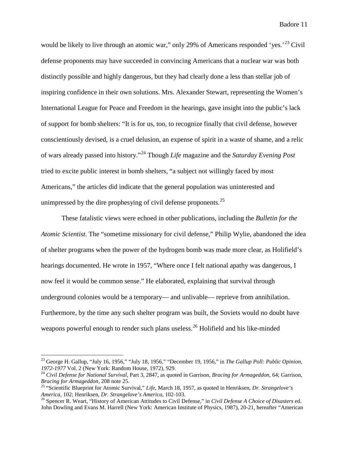would be likely to live through an atomic war," only 29% of Americans responded 'yes.<sup> $23$ </sup> Civil defense proponents may have succeeded in convincing Americans that a nuclear war was both distinctly possible and highly dangerous, but they had clearly done a less than stellar job of inspiring confidence in their own solutions. Mrs. Alexander Stewart, representing the Women's International League for Peace and Freedom in the hearings, gave insight into the public's lack of support for bomb shelters: "It is for us, too, to recognize finally that civil defense, however conscientiously devised, is a cruel delusion, an expense of spirit in a waste of shame, and a relic of wars already passed into history."[24](#page-13-1) Though *Life* magazine and the *Saturday Evening Post* tried to excite public interest in bomb shelters, "a subject not willingly faced by most Americans," the articles did indicate that the general population was uninterested and unimpressed by the dire prophesying of civil defense proponents.<sup>[25](#page-13-2)</sup>

These fatalistic views were echoed in other publications, including the *Bulletin for the Atomic Scientist*. The "sometime missionary for civil defense," Philip Wylie, abandoned the idea of shelter programs when the power of the hydrogen bomb was made more clear, as Holifield's hearings documented. He wrote in 1957, "Where once I felt national apathy was dangerous, I now feel it would be common sense." He elaborated, explaining that survival through underground colonies would be a temporary— and unlivable— reprieve from annihilation. Furthermore, by the time any such shelter program was built, the Soviets would no doubt have weapons powerful enough to render such plans useless.<sup>[26](#page-13-3)</sup> Holifield and his like-minded

<span id="page-13-0"></span><sup>&</sup>lt;sup>23</sup> George H. Gallup, "July 16, 1956," "July 18, 1956," "December 19, 1956," in *The Gallup Poll: Public Opinion, 1972-1977* Vol. 2 (New York: Random House, 1972), 929.

<span id="page-13-1"></span><sup>&</sup>lt;sup>24</sup> Civil Defense for National Survival, Part 3, 2847, as quoted in Garrison, *Bracing for Armageddon*, 64; Garrison, *Bracing for Armageddon*, 208 note 25.

<span id="page-13-2"></span><sup>&</sup>lt;sup>25</sup> "Scientific Blueprint for Atomic Survival," *Life*, March 18, 1957, as quoted in Henriksen, *Dr. Strangelove's America*, 102; Henriksen, *Dr. Strangelove's America*, 102-103.<br><sup>26</sup> Spencer R. Weart, "History of American Attitudes to Civil Defense," in *Civil Defense A Choice of Disasters* ed.

<span id="page-13-3"></span>John Dowling and Evans M. Harrell (New York: American Institute of Physics, 1987), 20-21, hereafter "American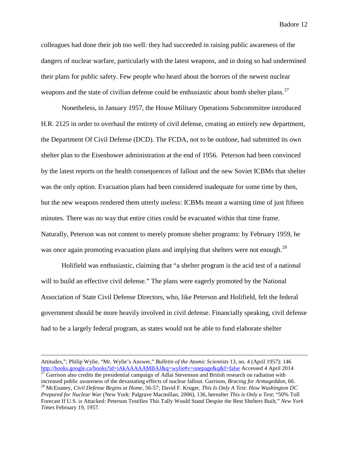colleagues had done their job too well: they had succeeded in raising public awareness of the dangers of nuclear warfare, particularly with the latest weapons, and in doing so had undermined their plans for public safety. Few people who heard about the horrors of the newest nuclear weapons and the state of civilian defense could be enthusiastic about bomb shelter plans.<sup>[27](#page-14-0)</sup>

Nonetheless, in January 1957, the House Military Operations Subcommittee introduced H.R. 2125 in order to overhaul the entirety of civil defense, creating an entirely new department, the Department Of Civil Defense (DCD). The FCDA, not to be outdone, had submitted its own shelter plan to the Eisenhower administration at the end of 1956. Peterson had been convinced by the latest reports on the health consequences of fallout and the new Soviet ICBMs that shelter was the only option. Evacuation plans had been considered inadequate for some time by then, but the new weapons rendered them utterly useless: ICBMs meant a warning time of just fifteen minutes. There was no way that entire cities could be evacuated within that time frame. Naturally, Peterson was not content to merely promote shelter programs: by February 1959, he was once again promoting evacuation plans and implying that shelters were not enough.<sup>[28](#page-14-1)</sup>

Holifield was enthusiastic, claiming that "a shelter program is the acid test of a national will to build an effective civil defense." The plans were eagerly promoted by the National Association of State Civil Defense Directors, who, like Peterson and Holifield, felt the federal government should be more heavily involved in civil defense. Financially speaking, civil defense had to be a largely federal program, as states would not be able to fund elaborate shelter

 $\overline{a}$ 

<span id="page-14-1"></span><span id="page-14-0"></span>Attitudes,"; Philip Wylie, "Mr. Wylie's Answer," *Bulletin of the Atomic Scientists* 13, no. 4 (April 1957): 146 <http://books.google.ca/books?id=iAkAAAAAMBAJ&q=wylie#v=onepage&q&f=false></del> Accessed 4 April 2014<br><sup>27</sup> Garrison also credits the presidential campaign of Adlai Stevenson and British research on radiation with increased public awareness of the devastating effects of nuclear fallout. Garrison, *Bracing for Armageddon*, 66.<br><sup>28</sup> McEnaney, *Civil Defense Begins at Home*, 56-57; David F. Kruger, *This Is Only A Test: How Washington Prepared for Nuclear War* (New York: Palgrave Macmillan, 2006), 136, hereafter *This is Only a Test*; "50% Toll Forecast If U.S. is Attacked: Peterson Testifies This Tally Would Stand Despite the Best Shelters Built," *New York Times* February 19, 1957.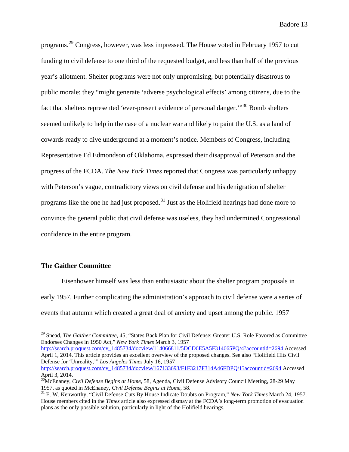programs.[29](#page-15-0) Congress, however, was less impressed. The House voted in February 1957 to cut funding to civil defense to one third of the requested budget, and less than half of the previous year's allotment. Shelter programs were not only unpromising, but potentially disastrous to public morale: they "might generate 'adverse psychological effects' among citizens, due to the fact that shelters represented 'ever-present evidence of personal danger."<sup>[30](#page-15-1)</sup> Bomb shelters seemed unlikely to help in the case of a nuclear war and likely to paint the U.S. as a land of cowards ready to dive underground at a moment's notice. Members of Congress, including Representative Ed Edmondson of Oklahoma, expressed their disapproval of Peterson and the progress of the FCDA. *The New York Times* reported that Congress was particularly unhappy with Peterson's vague, contradictory views on civil defense and his denigration of shelter programs like the one he had just proposed.<sup>[31](#page-15-2)</sup> Just as the Holifield hearings had done more to convince the general public that civil defense was useless, they had undermined Congressional confidence in the entire program.

#### **The Gaither Committee**

Eisenhower himself was less than enthusiastic about the shelter program proposals in early 1957. Further complicating the administration's approach to civil defense were a series of events that autumn which created a great deal of anxiety and upset among the public. 1957

[http://search.proquest.com/cv\\_1485734/docview/114066811/5DCD6E5A5F314665PQ/4?accountid=2694](http://search.proquest.com/cv_1485734/docview/114066811/5DCD6E5A5F314665PQ/4?accountid=2694) Accessed April 1, 2014. This article provides an excellent overview of the proposed changes. See also "Holifield Hits Civil Defense for 'Unreality,'" *Los Angeles Times* July 16, 1957

[http://search.proquest.com/cv\\_1485734/docview/167133693/F1F3217F314A46FDPQ/1?accountid=2694](http://search.proquest.com/cv_1485734/docview/167133693/F1F3217F314A46FDPQ/1?accountid=2694) Accessed April 3, 2014.

<span id="page-15-0"></span> <sup>29</sup> Snead, *The Gaither Committee*, 45; "States Back Plan for Civil Defense: Greater U.S. Role Favored as Committee Endorses Changes in 1950 Act," *New York Times* March 3, 1957

<span id="page-15-1"></span><sup>&</sup>lt;sup>30</sup>McEnaney, *Civil Defense Begins at Home*, 58, Agenda, Civil Defense Advisory Council Meeting, 28-29 May 1957, as quoted in McEnaney, *Civil Defense Begins at Home*, 58.

<span id="page-15-2"></span><sup>&</sup>lt;sup>31</sup> E. W. Kenworthy, "Civil Defense Cuts By House Indicate Doubts on Program," *New York Times* March 24, 1957. House members cited in the *Times* article also expressed dismay at the FCDA's long-term promotion of evacuation plans as the only possible solution, particularly in light of the Holifield hearings.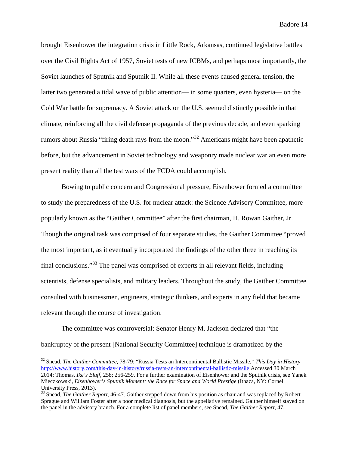brought Eisenhower the integration crisis in Little Rock, Arkansas, continued legislative battles over the Civil Rights Act of 1957, Soviet tests of new ICBMs, and perhaps most importantly, the Soviet launches of Sputnik and Sputnik II. While all these events caused general tension, the latter two generated a tidal wave of public attention— in some quarters, even hysteria— on the Cold War battle for supremacy. A Soviet attack on the U.S. seemed distinctly possible in that climate, reinforcing all the civil defense propaganda of the previous decade, and even sparking rumors about Russia "firing death rays from the moon."[32](#page-16-0) Americans might have been apathetic before, but the advancement in Soviet technology and weaponry made nuclear war an even more present reality than all the test wars of the FCDA could accomplish.

Bowing to public concern and Congressional pressure, Eisenhower formed a committee to study the preparedness of the U.S. for nuclear attack: the Science Advisory Committee, more popularly known as the "Gaither Committee" after the first chairman, H. Rowan Gaither, Jr. Though the original task was comprised of four separate studies, the Gaither Committee "proved the most important, as it eventually incorporated the findings of the other three in reaching its final conclusions."[33](#page-16-1) The panel was comprised of experts in all relevant fields, including scientists, defense specialists, and military leaders. Throughout the study, the Gaither Committee consulted with businessmen, engineers, strategic thinkers, and experts in any field that became relevant through the course of investigation.

The committee was controversial: Senator Henry M. Jackson declared that "the bankruptcy of the present [National Security Committee] technique is dramatized by the

<span id="page-16-0"></span> <sup>32</sup> Snead, *The Gaither Committee*, 78-79; "Russia Tests an Intercontinental Ballistic Missile," *This Day in History* <http://www.history.com/this-day-in-history/russia-tests-an-intercontinental-ballistic-missile> Accessed 30 March 2014; Thomas, *Ike's Bluff*, 258; 256-259. For a further examination of Eisenhower and the Sputnik crisis, see Yanek Mieczkowski, *Eisenhower's Sputnik Moment: the Race for Space and World Prestige* (Ithaca, NY: Cornell University Press, 2013).

<span id="page-16-1"></span><sup>&</sup>lt;sup>33</sup> Snead, *The Gaither Report*, 46-47. Gaither stepped down from his position as chair and was replaced by Robert Sprague and William Foster after a poor medical diagnosis, but the appellative remained. Gaither himself stayed on the panel in the advisory branch. For a complete list of panel members, see Snead, *The Gaither Report*, 47.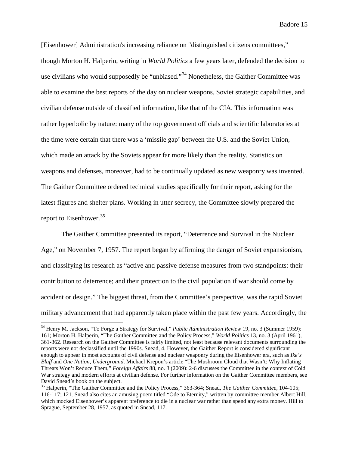[Eisenhower] Administration's increasing reliance on "distinguished citizens committees," though Morton H. Halperin, writing in *World Politics* a few years later, defended the decision to use civilians who would supposedly be "unbiased."<sup>[34](#page-17-0)</sup> Nonetheless, the Gaither Committee was able to examine the best reports of the day on nuclear weapons, Soviet strategic capabilities, and civilian defense outside of classified information, like that of the CIA. This information was rather hyperbolic by nature: many of the top government officials and scientific laboratories at the time were certain that there was a 'missile gap' between the U.S. and the Soviet Union, which made an attack by the Soviets appear far more likely than the reality. Statistics on weapons and defenses, moreover, had to be continually updated as new weaponry was invented. The Gaither Committee ordered technical studies specifically for their report, asking for the latest figures and shelter plans. Working in utter secrecy, the Committee slowly prepared the report to Eisenhower.<sup>[35](#page-17-1)</sup>

The Gaither Committee presented its report, "Deterrence and Survival in the Nuclear Age," on November 7, 1957. The report began by affirming the danger of Soviet expansionism, and classifying its research as "active and passive defense measures from two standpoints: their contribution to deterrence; and their protection to the civil population if war should come by accident or design." The biggest threat, from the Committee's perspective, was the rapid Soviet military advancement that had apparently taken place within the past few years. Accordingly, the

<span id="page-17-0"></span><sup>&</sup>lt;sup>34</sup> Henry M. Jackson, "To Forge a Strategy for Survival," *Public Administration Review* 19, no. 3 (Summer 1959): 161; Morton H. Halperin, "The Gaither Committee and the Policy Process," *World Politics* 13, no. 3 (April 1961), 361-362. Research on the Gaither Committee is fairly limited, not least because relevant documents surrounding the reports were not declassified until the 1990s. Snead, 4. However, the Gaither Report is considered significant enough to appear in most accounts of civil defense and nuclear weaponry during the Eisenhower era, such as *Ike's Bluff* and *One Nation, Underground*. Michael Krepon's article "The Mushroom Cloud that Wasn't: Why Inflating Threats Won't Reduce Them," *Foreign Affairs* 88, no. 3 (2009): 2-6 discusses the Committee in the context of Cold War strategy and modern efforts at civilian defense. For further information on the Gaither Committee members, see David Snead's book on the subject.

<span id="page-17-1"></span><sup>35</sup> Halperin, "The Gaither Committee and the Policy Process," 363-364; Snead, *The Gaither Committee*, 104-105; 116-117; 121. Snead also cites an amusing poem titled "Ode to Eternity," written by committee member Albert Hill, which mocked Eisenhower's apparent preference to die in a nuclear war rather than spend any extra money. Hill to Sprague, September 28, 1957, as quoted in Snead, 117.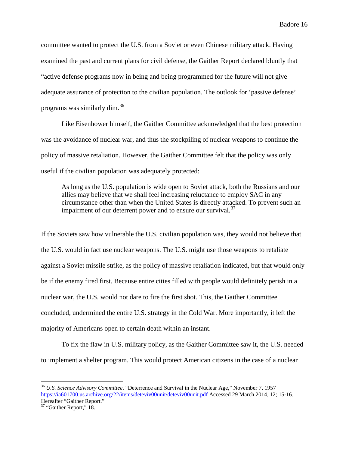committee wanted to protect the U.S. from a Soviet or even Chinese military attack. Having examined the past and current plans for civil defense, the Gaither Report declared bluntly that "active defense programs now in being and being programmed for the future will not give adequate assurance of protection to the civilian population. The outlook for 'passive defense' programs was similarly dim.[36](#page-18-0)

Like Eisenhower himself, the Gaither Committee acknowledged that the best protection was the avoidance of nuclear war, and thus the stockpiling of nuclear weapons to continue the policy of massive retaliation. However, the Gaither Committee felt that the policy was only useful if the civilian population was adequately protected:

As long as the U.S. population is wide open to Soviet attack, both the Russians and our allies may believe that we shall feel increasing reluctance to employ SAC in any circumstance other than when the United States is directly attacked. To prevent such an impairment of our deterrent power and to ensure our survival.  $37$ 

If the Soviets saw how vulnerable the U.S. civilian population was, they would not believe that the U.S. would in fact use nuclear weapons. The U.S. might use those weapons to retaliate against a Soviet missile strike, as the policy of massive retaliation indicated, but that would only be if the enemy fired first. Because entire cities filled with people would definitely perish in a nuclear war, the U.S. would not dare to fire the first shot. This, the Gaither Committee concluded, undermined the entire U.S. strategy in the Cold War. More importantly, it left the majority of Americans open to certain death within an instant.

To fix the flaw in U.S. military policy, as the Gaither Committee saw it, the U.S. needed to implement a shelter program. This would protect American citizens in the case of a nuclear

<span id="page-18-0"></span> <sup>36</sup> *U.S. Science Advisory Committee*, "Deterrence and Survival in the Nuclear Age," November 7, 1957 <https://ia601700.us.archive.org/22/items/deteviv00unit/deteviv00unit.pdf> Accessed 29 March 2014, 12; 15-16. Hereafter "Gaither Report."

<span id="page-18-1"></span><sup>&</sup>lt;sup>37</sup> "Gaither Report," 18.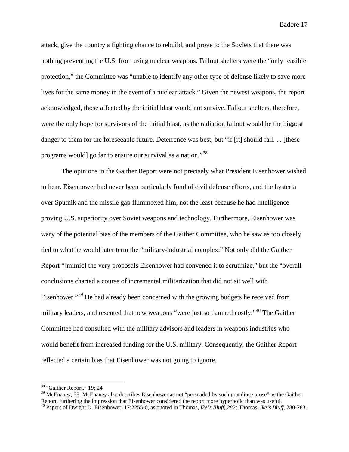attack, give the country a fighting chance to rebuild, and prove to the Soviets that there was nothing preventing the U.S. from using nuclear weapons. Fallout shelters were the "only feasible protection," the Committee was "unable to identify any other type of defense likely to save more lives for the same money in the event of a nuclear attack." Given the newest weapons, the report acknowledged, those affected by the initial blast would not survive. Fallout shelters, therefore, were the only hope for survivors of the initial blast, as the radiation fallout would be the biggest danger to them for the foreseeable future. Deterrence was best, but "if [it] should fail. . . [these programs would go far to ensure our survival as a nation."<sup>[38](#page-19-0)</sup>

The opinions in the Gaither Report were not precisely what President Eisenhower wished to hear. Eisenhower had never been particularly fond of civil defense efforts, and the hysteria over Sputnik and the missile gap flummoxed him, not the least because he had intelligence proving U.S. superiority over Soviet weapons and technology. Furthermore, Eisenhower was wary of the potential bias of the members of the Gaither Committee, who he saw as too closely tied to what he would later term the "military-industrial complex." Not only did the Gaither Report "[mimic] the very proposals Eisenhower had convened it to scrutinize," but the "overall conclusions charted a course of incremental militarization that did not sit well with Eisenhower."<sup>[39](#page-19-1)</sup> He had already been concerned with the growing budgets he received from military leaders, and resented that new weapons "were just so damned costly."<sup>[40](#page-19-2)</sup> The Gaither Committee had consulted with the military advisors and leaders in weapons industries who would benefit from increased funding for the U.S. military. Consequently, the Gaither Report reflected a certain bias that Eisenhower was not going to ignore.

<span id="page-19-0"></span> $38$  "Gaither Report," 19; 24.

<span id="page-19-1"></span><sup>&</sup>lt;sup>39</sup> McEnaney, 58. McEnaney also describes Eisenhower as not "persuaded by such grandiose prose" as the Gaither Report, furthering the impression that Eisenhower considered the report more hyperbolic than was useful.

<span id="page-19-2"></span><sup>40</sup> Papers of Dwight D. Eisenhower, 17:2255-6, as quoted in Thomas, *Ike's Bluff, 282;* Thomas, *Ike's Bluff,* 280-283.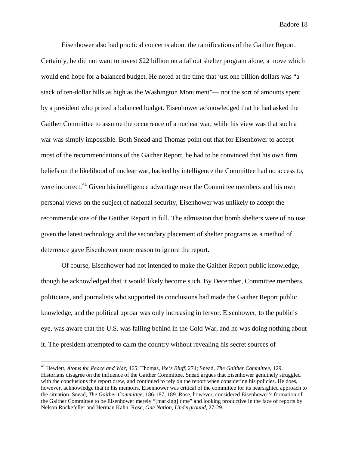Eisenhower also had practical concerns about the ramifications of the Gaither Report. Certainly, he did not want to invest \$22 billion on a fallout shelter program alone, a move which would end hope for a balanced budget. He noted at the time that just one billion dollars was "a stack of ten-dollar bills as high as the Washington Monument"— not the sort of amounts spent by a president who prized a balanced budget. Eisenhower acknowledged that he had asked the Gaither Committee to assume the occurrence of a nuclear war, while his view was that such a war was simply impossible. Both Snead and Thomas point out that for Eisenhower to accept most of the recommendations of the Gaither Report, he had to be convinced that his own firm beliefs on the likelihood of nuclear war, backed by intelligence the Committee had no access to, were incorrect.<sup>[41](#page-20-0)</sup> Given his intelligence advantage over the Committee members and his own personal views on the subject of national security, Eisenhower was unlikely to accept the recommendations of the Gaither Report in full. The admission that bomb shelters were of no use given the latest technology and the secondary placement of shelter programs as a method of deterrence gave Eisenhower more reason to ignore the report.

Of course, Eisenhower had not intended to make the Gaither Report public knowledge, though he acknowledged that it would likely become such. By December, Committee members, politicians, and journalists who supported its conclusions had made the Gaither Report public knowledge, and the political uproar was only increasing in fervor. Eisenhower, to the public's eye, was aware that the U.S. was falling behind in the Cold War, and he was doing nothing about it. The president attempted to calm the country without revealing his secret sources of

<span id="page-20-0"></span> <sup>41</sup> Hewlett, *Atoms for Peace and War*, 465; Thomas, *Ike's Bluff*, 274; Snead, *The Gaither Committee*, 129. Historians disagree on the influence of the Gaither Committee. Snead argues that Eisenhower genuinely struggled with the conclusions the report drew, and continued to rely on the report when considering his policies. He does, however, acknowledge that in his memoirs, Eisenhower was critical of the committee for its nearsighted approach to the situation. Snead, *The Gaither Committee,* 186-187, 189. Rose, however, considered Eisenhower's formation of the Gaither Committee to be Eisenhower merely "[marking] time" and looking productive in the face of reports by Nelson Rockefeller and Herman Kahn. Rose, *One Nation, Underground*, 27-29.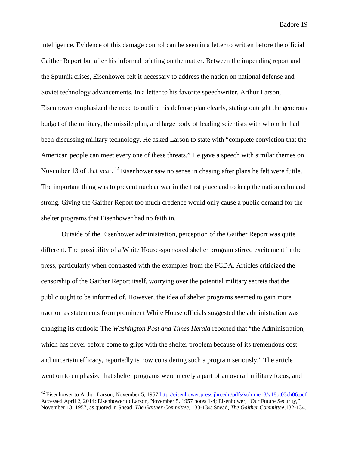intelligence. Evidence of this damage control can be seen in a letter to written before the official Gaither Report but after his informal briefing on the matter. Between the impending report and the Sputnik crises, Eisenhower felt it necessary to address the nation on national defense and Soviet technology advancements. In a letter to his favorite speechwriter, Arthur Larson, Eisenhower emphasized the need to outline his defense plan clearly, stating outright the generous budget of the military, the missile plan, and large body of leading scientists with whom he had been discussing military technology. He asked Larson to state with "complete conviction that the American people can meet every one of these threats." He gave a speech with similar themes on November 13 of that year. <sup>[42](#page-21-0)</sup> Eisenhower saw no sense in chasing after plans he felt were futile. The important thing was to prevent nuclear war in the first place and to keep the nation calm and strong. Giving the Gaither Report too much credence would only cause a public demand for the shelter programs that Eisenhower had no faith in.

Outside of the Eisenhower administration, perception of the Gaither Report was quite different. The possibility of a White House-sponsored shelter program stirred excitement in the press, particularly when contrasted with the examples from the FCDA. Articles criticized the censorship of the Gaither Report itself, worrying over the potential military secrets that the public ought to be informed of. However, the idea of shelter programs seemed to gain more traction as statements from prominent White House officials suggested the administration was changing its outlook: The *Washington Post and Times Herald* reported that "the Administration, which has never before come to grips with the shelter problem because of its tremendous cost and uncertain efficacy, reportedly is now considering such a program seriously." The article went on to emphasize that shelter programs were merely a part of an overall military focus, and

<span id="page-21-0"></span><sup>&</sup>lt;sup>42</sup> Eisenhower to Arthur Larson, November 5, 1957<http://eisenhower.press.jhu.edu/pdfs/volume18/v18pt03ch06.pdf> Accessed April 2, 2014; Eisenhower to Larson, November 5, 1957 notes 1-4; Eisenhower, "Our Future Security," November 13, 1957, as quoted in Snead, *The Gaither Committee*, 133-134; Snead, *The Gaither Committee,*132-134.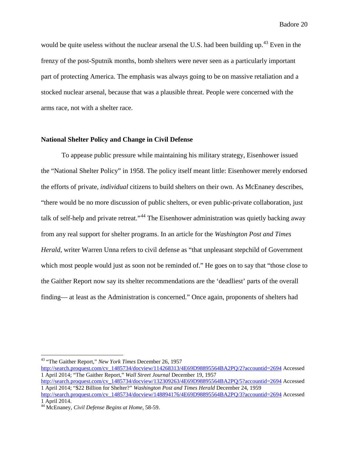would be quite useless without the nuclear arsenal the U.S. had been building up.<sup>[43](#page-22-0)</sup> Even in the frenzy of the post-Sputnik months, bomb shelters were never seen as a particularly important part of protecting America. The emphasis was always going to be on massive retaliation and a stocked nuclear arsenal, because that was a plausible threat. People were concerned with the arms race, not with a shelter race.

#### **National Shelter Policy and Change in Civil Defense**

To appease public pressure while maintaining his military strategy, Eisenhower issued the "National Shelter Policy" in 1958. The policy itself meant little: Eisenhower merely endorsed the efforts of private, *individual* citizens to build shelters on their own. As McEnaney describes, "there would be no more discussion of public shelters, or even public-private collaboration, just talk of self-help and private retreat."<sup>[44](#page-22-1)</sup> The Eisenhower administration was quietly backing away from any real support for shelter programs. In an article for the *Washington Post and Times Herald*, writer Warren Unna refers to civil defense as "that unpleasant stepchild of Government" which most people would just as soon not be reminded of." He goes on to say that "those close to the Gaither Report now say its shelter recommendations are the 'deadliest' parts of the overall finding— at least as the Administration is concerned." Once again, proponents of shelters had

<span id="page-22-0"></span> <sup>43</sup> "The Gaither Report," *New York Times* December 26, 1957

[http://search.proquest.com/cv\\_1485734/docview/114268313/4E69D98895564BA2PQ/2?accountid=2694](http://search.proquest.com/cv_1485734/docview/114268313/4E69D98895564BA2PQ/2?accountid=2694) Accessed 1 April 2014; "The Gaither Report," *Wall Street Journal* December 19, 1957 [http://search.proquest.com/cv\\_1485734/docview/132309263/4E69D98895564BA2PQ/5?accountid=2694](http://search.proquest.com/cv_1485734/docview/132309263/4E69D98895564BA2PQ/5?accountid=2694) Accessed 1 April 2014; "\$22 Billion for Shelter?" *Washington Post and Times Herald* December 24, 1959

[http://search.proquest.com/cv\\_1485734/docview/148894176/4E69D98895564BA2PQ/3?accountid=2694](http://search.proquest.com/cv_1485734/docview/148894176/4E69D98895564BA2PQ/3?accountid=2694) Accessed 1 April 2014.

<span id="page-22-1"></span><sup>44</sup> McEnaney, *Civil Defense Begins at Home*, 58-59.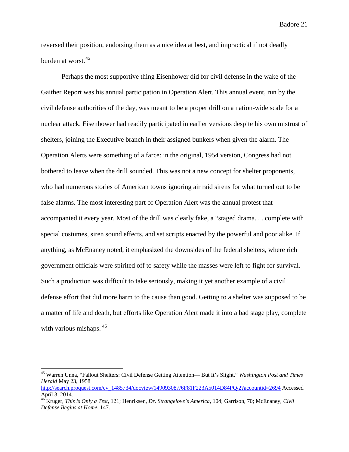reversed their position, endorsing them as a nice idea at best, and impractical if not deadly burden at worst.[45](#page-23-0)

Perhaps the most supportive thing Eisenhower did for civil defense in the wake of the Gaither Report was his annual participation in Operation Alert. This annual event, run by the civil defense authorities of the day, was meant to be a proper drill on a nation-wide scale for a nuclear attack. Eisenhower had readily participated in earlier versions despite his own mistrust of shelters, joining the Executive branch in their assigned bunkers when given the alarm. The Operation Alerts were something of a farce: in the original, 1954 version, Congress had not bothered to leave when the drill sounded. This was not a new concept for shelter proponents, who had numerous stories of American towns ignoring air raid sirens for what turned out to be false alarms. The most interesting part of Operation Alert was the annual protest that accompanied it every year. Most of the drill was clearly fake, a "staged drama. . . complete with special costumes, siren sound effects, and set scripts enacted by the powerful and poor alike. If anything, as McEnaney noted, it emphasized the downsides of the federal shelters, where rich government officials were spirited off to safety while the masses were left to fight for survival. Such a production was difficult to take seriously, making it yet another example of a civil defense effort that did more harm to the cause than good. Getting to a shelter was supposed to be a matter of life and death, but efforts like Operation Alert made it into a bad stage play, complete with various mishaps.  $46$ 

<span id="page-23-0"></span> <sup>45</sup> Warren Unna, "Fallout Shelters: Civil Defense Getting Attention— But It's Slight," *Washington Post and Times Herald* May 23, 1958

[http://search.proquest.com/cv\\_1485734/docview/149093087/6F81F223A5014D84PQ/2?accountid=2694](http://search.proquest.com/cv_1485734/docview/149093087/6F81F223A5014D84PQ/2?accountid=2694) Accessed April 3, 2014.

<span id="page-23-1"></span><sup>46</sup> Kruger, *This is Only a Test*, 121; Henriksen, *Dr. Strangelove's America*, 104; Garrison, 70; McEnaney, *Civil Defense Begins at Home*, 147.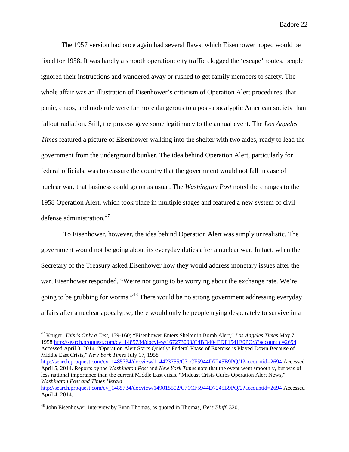The 1957 version had once again had several flaws, which Eisenhower hoped would be fixed for 1958. It was hardly a smooth operation: city traffic clogged the 'escape' routes, people ignored their instructions and wandered away or rushed to get family members to safety. The whole affair was an illustration of Eisenhower's criticism of Operation Alert procedures: that panic, chaos, and mob rule were far more dangerous to a post-apocalyptic American society than fallout radiation. Still, the process gave some legitimacy to the annual event. The *Los Angeles Times* featured a picture of Eisenhower walking into the shelter with two aides, ready to lead the government from the underground bunker. The idea behind Operation Alert, particularly for federal officials, was to reassure the country that the government would not fall in case of nuclear war, that business could go on as usual. The *Washington Post* noted the changes to the 1958 Operation Alert, which took place in multiple stages and featured a new system of civil defense administration.<sup>[47](#page-24-0)</sup>

To Eisenhower, however, the idea behind Operation Alert was simply unrealistic. The government would not be going about its everyday duties after a nuclear war. In fact, when the Secretary of the Treasury asked Eisenhower how they would address monetary issues after the war, Eisenhower responded, "We're not going to be worrying about the exchange rate. We're going to be grubbing for worms."[48](#page-24-1) There would be no strong government addressing everyday affairs after a nuclear apocalypse, there would only be people trying desperately to survive in a

<span id="page-24-0"></span> 47 Kruger, *This is Only a Test*, 159-160; "Eisenhower Enters Shelter in Bomb Alert," *Los Angeles Times* May 7, 195[8 http://search.proquest.com/cv\\_1485734/docview/167273093/C4BD404EDF1541E0PQ/3?accountid=2694](http://search.proquest.com/cv_1485734/docview/167273093/C4BD404EDF1541E0PQ/3?accountid=2694) Accessed April 3, 2014. "Operation Alert Starts Quietly: Federal Phase of Exercise is Played Down Because of Middle East Crisis," *New York Times* July 17, 1958 [http://search.proquest.com/cv\\_1485734/docview/114423755/C71CF5944D7245B9PQ/1?accountid=2694](http://search.proquest.com/cv_1485734/docview/114423755/C71CF5944D7245B9PQ/1?accountid=2694) Accessed April 5, 2014. Reports by the *Washington Post* and *New York Times* note that the event went smoothly, but was of less national importance than the current Middle East crisis. "Mideast Crisis Curbs Operation Alert News," *Washington Post and Times Herald* [http://search.proquest.com/cv\\_1485734/docview/149015502/C71CF5944D7245B9PQ/2?accountid=2694](http://search.proquest.com/cv_1485734/docview/149015502/C71CF5944D7245B9PQ/2?accountid=2694) Accessed April 4, 2014.

<span id="page-24-1"></span><sup>48</sup> John Eisenhower, interview by Evan Thomas, as quoted in Thomas, *Ike's Bluff*, 320.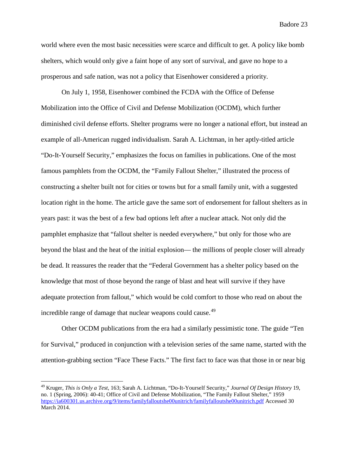world where even the most basic necessities were scarce and difficult to get. A policy like bomb shelters, which would only give a faint hope of any sort of survival, and gave no hope to a prosperous and safe nation, was not a policy that Eisenhower considered a priority.

On July 1, 1958, Eisenhower combined the FCDA with the Office of Defense Mobilization into the Office of Civil and Defense Mobilization (OCDM), which further diminished civil defense efforts. Shelter programs were no longer a national effort, but instead an example of all-American rugged individualism. Sarah A. Lichtman, in her aptly-titled article "Do-It-Yourself Security," emphasizes the focus on families in publications. One of the most famous pamphlets from the OCDM, the "Family Fallout Shelter," illustrated the process of constructing a shelter built not for cities or towns but for a small family unit, with a suggested location right in the home. The article gave the same sort of endorsement for fallout shelters as in years past: it was the best of a few bad options left after a nuclear attack. Not only did the pamphlet emphasize that "fallout shelter is needed everywhere," but only for those who are beyond the blast and the heat of the initial explosion— the millions of people closer will already be dead. It reassures the reader that the "Federal Government has a shelter policy based on the knowledge that most of those beyond the range of blast and heat will survive if they have adequate protection from fallout," which would be cold comfort to those who read on about the incredible range of damage that nuclear weapons could cause.<sup>[49](#page-25-0)</sup>

Other OCDM publications from the era had a similarly pessimistic tone. The guide "Ten for Survival," produced in conjunction with a television series of the same name, started with the attention-grabbing section "Face These Facts." The first fact to face was that those in or near big

<span id="page-25-0"></span> <sup>49</sup> Kruger, *This is Only a Test*, 163; Sarah A. Lichtman, "Do-It-Yourself Security," *Journal Of Design History* 19, no. 1 (Spring, 2006): 40-41; Office of Civil and Defense Mobilization, "The Family Fallout Shelter," 1959 <https://ia600301.us.archive.org/9/items/familyfalloutshe00unitrich/familyfalloutshe00unitrich.pdf> Accessed 30 March 2014.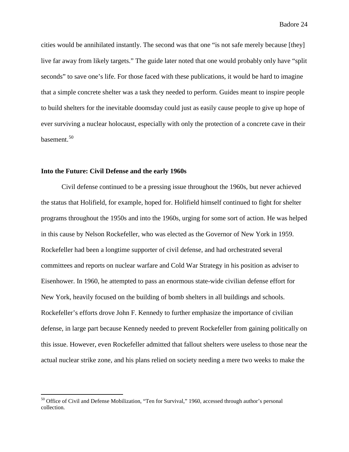cities would be annihilated instantly. The second was that one "is not safe merely because [they] live far away from likely targets." The guide later noted that one would probably only have "split seconds" to save one's life. For those faced with these publications, it would be hard to imagine that a simple concrete shelter was a task they needed to perform. Guides meant to inspire people to build shelters for the inevitable doomsday could just as easily cause people to give up hope of ever surviving a nuclear holocaust, especially with only the protection of a concrete cave in their basement.<sup>[50](#page-26-0)</sup>

#### **Into the Future: Civil Defense and the early 1960s**

Civil defense continued to be a pressing issue throughout the 1960s, but never achieved the status that Holifield, for example, hoped for. Holifield himself continued to fight for shelter programs throughout the 1950s and into the 1960s, urging for some sort of action. He was helped in this cause by Nelson Rockefeller, who was elected as the Governor of New York in 1959. Rockefeller had been a longtime supporter of civil defense, and had orchestrated several committees and reports on nuclear warfare and Cold War Strategy in his position as adviser to Eisenhower. In 1960, he attempted to pass an enormous state-wide civilian defense effort for New York, heavily focused on the building of bomb shelters in all buildings and schools. Rockefeller's efforts drove John F. Kennedy to further emphasize the importance of civilian defense, in large part because Kennedy needed to prevent Rockefeller from gaining politically on this issue. However, even Rockefeller admitted that fallout shelters were useless to those near the actual nuclear strike zone, and his plans relied on society needing a mere two weeks to make the

<span id="page-26-0"></span><sup>&</sup>lt;sup>50</sup> Office of Civil and Defense Mobilization, "Ten for Survival," 1960, accessed through author's personal collection.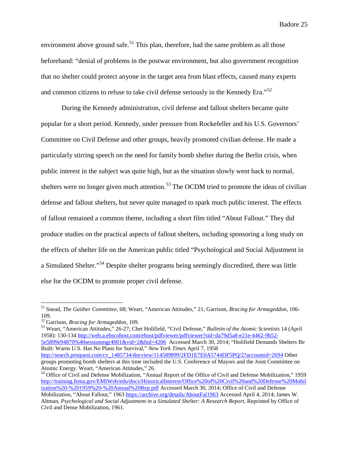environment above ground safe.<sup>[51](#page-27-0)</sup> This plan, therefore, had the same problem as all those beforehand: "denial of problems in the postwar environment, but also government recognition that no shelter could protect anyone in the target area from blast effects, caused many experts and common citizens to refuse to take civil defense seriously in the Kennedy Era."[52](#page-27-1)

During the Kennedy administration, civil defense and fallout shelters became quite popular for a short period. Kennedy, under pressure from Rockefeller and his U.S. Governors' Committee on Civil Defense and other groups, heavily promoted civilian defense. He made a particularly stirring speech on the need for family bomb shelter during the Berlin crisis, when public interest in the subject was quite high, but as the situation slowly went back to normal, shelters were no longer given much attention.<sup>[53](#page-27-2)</sup> The OCDM tried to promote the ideas of civilian defense and fallout shelters, but never quite managed to spark much public interest. The effects of fallout remained a common theme, including a short film titled "About Fallout." They did produce studies on the practical aspects of fallout shelters, including sponsoring a long study on the effects of shelter life on the American public titled "Psychological and Social Adjustment in a Simulated Shelter."[54](#page-27-3) Despite shelter programs being seemingly discredited, there was little else for the OCDM to promote proper civil defense.

<span id="page-27-2"></span>53 Weart, "American Attitudes," 26-27; Chet Holifield, "Civil Defense," *Bulletin of the Atomic Scientists* 14 (April 1958): 130-134 [http://web.a.ebscohost.com/ehost/pdfviewer/pdfviewer?sid=da79d5a8-e21e-4462-9b52-](http://web.a.ebscohost.com/ehost/pdfviewer/pdfviewer?sid=da79d5a8-e21e-4462-9b52-5e5899e94870%40sessionmgr4001&vid=2&hid=4206) [5e5899e94870%40sessionmgr4001&vid=2&hid=4206](http://web.a.ebscohost.com/ehost/pdfviewer/pdfviewer?sid=da79d5a8-e21e-4462-9b52-5e5899e94870%40sessionmgr4001&vid=2&hid=4206) Accessed March 30, 2014; "Holifield Demands Shelters Be Built: Warns U.S. Has No Plans for Survival," *New York Times* April 7, 1958 [http://search.proquest.com/cv\\_1485734/docview/114589899/2FD1E7E0A5744DF5PQ/2?accountid=2694](http://search.proquest.com/cv_1485734/docview/114589899/2FD1E7E0A5744DF5PQ/2?accountid=2694) Other

<span id="page-27-0"></span> <sup>51</sup> Snead, *The Gaither Committee*, 68; Weart, "American Attitudes," 21; Garrison, *Bracing for Armageddon*, 106- 109.<br><sup>52</sup> Garrison, *Bracing for Armageddon*, 109.

<span id="page-27-1"></span>

groups promoting bomb shelters at this time included the U.S. Conference of Mayors and the Joint Committee on Atomic Energy. Weart, "American Attitudes," 26.

<span id="page-27-3"></span><sup>&</sup>lt;sup>54</sup> Office of Civil and Defense Mobilization, "Annual Report of the Office of Civil and Defense Mobilization," 1959 [http://training.fema.gov/EMIWeb/edu/docs/HistoricalInterest/Office%20of%20Civil%20and%20Defense%20Mobil](http://training.fema.gov/EMIWeb/edu/docs/HistoricalInterest/Office%20of%20Civil%20and%20Defense%20Mobilization%20-%201959%20-%20Annual%20Rep.pdf) [ization%20-%201959%20-%20Annual%20Rep.pdf](http://training.fema.gov/EMIWeb/edu/docs/HistoricalInterest/Office%20of%20Civil%20and%20Defense%20Mobilization%20-%201959%20-%20Annual%20Rep.pdf) Accessed March 30, 2014; Office of Civil and Defense Mobilization, "About Fallout," 1963<https://archive.org/details/AboutFal1963> Accessed April 4, 2014; James W. Altman, *Psychological and Social Adjustment in a Simulated Shelter: A Research Report*, Reprinted by Office of Civil and Dense Mobilization, 1961.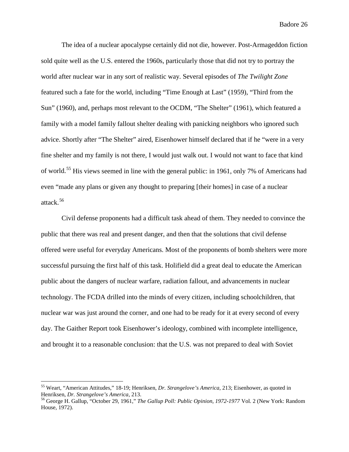The idea of a nuclear apocalypse certainly did not die, however. Post-Armageddon fiction sold quite well as the U.S. entered the 1960s, particularly those that did not try to portray the world after nuclear war in any sort of realistic way. Several episodes of *The Twilight Zone* featured such a fate for the world, including "Time Enough at Last" (1959), "Third from the Sun" (1960), and, perhaps most relevant to the OCDM, "The Shelter" (1961), which featured a family with a model family fallout shelter dealing with panicking neighbors who ignored such advice. Shortly after "The Shelter" aired, Eisenhower himself declared that if he "were in a very fine shelter and my family is not there, I would just walk out. I would not want to face that kind of world.<sup>[55](#page-28-0)</sup> His views seemed in line with the general public: in 1961, only 7% of Americans had even "made any plans or given any thought to preparing [their homes] in case of a nuclear attack.[56](#page-28-1)

Civil defense proponents had a difficult task ahead of them. They needed to convince the public that there was real and present danger, and then that the solutions that civil defense offered were useful for everyday Americans. Most of the proponents of bomb shelters were more successful pursuing the first half of this task. Holifield did a great deal to educate the American public about the dangers of nuclear warfare, radiation fallout, and advancements in nuclear technology. The FCDA drilled into the minds of every citizen, including schoolchildren, that nuclear war was just around the corner, and one had to be ready for it at every second of every day. The Gaither Report took Eisenhower's ideology, combined with incomplete intelligence, and brought it to a reasonable conclusion: that the U.S. was not prepared to deal with Soviet

<span id="page-28-0"></span> <sup>55</sup> Weart, "American Attitudes," 18-19; Henriksen, *Dr. Strangelove's America*, 213; Eisenhower, as quoted in Henriksen, *Dr. Strangelove's America*, 213.<br><sup>56</sup> George H. Gallup, "October 29, 1961," *The Gallup Poll: Public Opinion, 1972-1977* Vol. 2 (New York: Random

<span id="page-28-1"></span>House, 1972).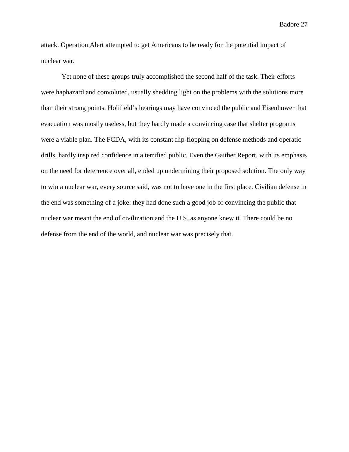attack. Operation Alert attempted to get Americans to be ready for the potential impact of nuclear war.

Yet none of these groups truly accomplished the second half of the task. Their efforts were haphazard and convoluted, usually shedding light on the problems with the solutions more than their strong points. Holifield's hearings may have convinced the public and Eisenhower that evacuation was mostly useless, but they hardly made a convincing case that shelter programs were a viable plan. The FCDA, with its constant flip-flopping on defense methods and operatic drills, hardly inspired confidence in a terrified public. Even the Gaither Report, with its emphasis on the need for deterrence over all, ended up undermining their proposed solution. The only way to win a nuclear war, every source said, was not to have one in the first place. Civilian defense in the end was something of a joke: they had done such a good job of convincing the public that nuclear war meant the end of civilization and the U.S. as anyone knew it. There could be no defense from the end of the world, and nuclear war was precisely that.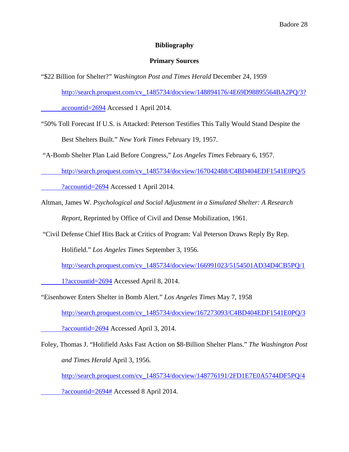#### **Bibliography**

#### **Primary Sources**

"\$22 Billion for Shelter?" *Washington Post and Times Herald* December 24, 1959

[http://search.proquest.com/cv\\_1485734/docview/148894176/4E69D98895564BA2PQ/3?](http://search.proquest.com/cv_1485734/docview/148894176/4E69D98895564BA2PQ/3?accountid=2694)

[accountid=2694](http://search.proquest.com/cv_1485734/docview/148894176/4E69D98895564BA2PQ/3?accountid=2694) Accessed 1 April 2014.

"50% Toll Forecast If U.S. is Attacked: Peterson Testifies This Tally Would Stand Despite the Best Shelters Built." *New York Times* February 19, 1957.

"A-Bomb Shelter Plan Laid Before Congress," *Los Angeles Times* February 6, 1957.

http://search.proquest.com/cv\_1485734/docview/167042488/C4BD404EDF1541E0PQ/5

?accountid=2694 Accessed 1 April 2014.

- Altman, James W. *Psychological and Social Adjustment in a Simulated Shelter: A Research Report*, Reprinted by Office of Civil and Dense Mobilization, 1961.
- "Civil Defense Chief Hits Back at Critics of Program: Val Peterson Draws Reply By Rep.

Holifield." *Los Angeles Times* September 3, 1956.

[http://search.proquest.com/cv\\_1485734/docview/166991023/5154501AD34D4CB5PQ/1](http://search.proquest.com/cv_1485734/docview/166991023/5154501AD34D4CB5PQ/1%091?accountid=2694)

[1?accountid=2694](http://search.proquest.com/cv_1485734/docview/166991023/5154501AD34D4CB5PQ/1%091?accountid=2694) Accessed April 8, 2014.

"Eisenhower Enters Shelter in Bomb Alert." *Los Angeles Times* May 7, 1958

[http://search.proquest.com/cv\\_1485734/docview/167273093/C4BD404EDF1541E0PQ/3](http://search.proquest.com/cv_1485734/docview/167273093/C4BD404EDF1541E0PQ/3?accountid=2694)

[?accountid=2694](http://search.proquest.com/cv_1485734/docview/167273093/C4BD404EDF1541E0PQ/3?accountid=2694) Accessed April 3, 2014.

Foley, Thomas J. "Holifield Asks Fast Action on \$8-Billion Shelter Plans." *The Washington Post and Times Herald* April 3, 1956.

[http://search.proquest.com/cv\\_1485734/docview/148776191/2FD1E7E0A5744DF5PQ/4](http://search.proquest.com/cv_1485734/docview/148776191/2FD1E7E0A5744DF5PQ/4?accountid=2694)

[?accountid=2694#](http://search.proquest.com/cv_1485734/docview/148776191/2FD1E7E0A5744DF5PQ/4?accountid=2694) Accessed 8 April 2014.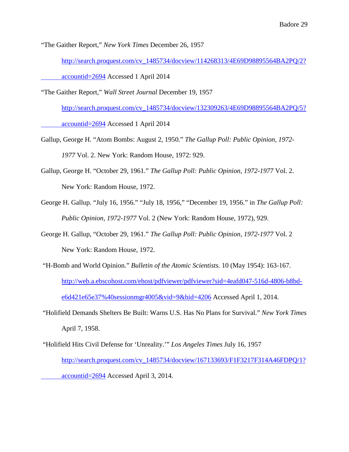"The Gaither Report," *New York Times* December 26, 1957

[http://search.proquest.com/cv\\_1485734/docview/114268313/4E69D98895564BA2PQ/2?](http://search.proquest.com/cv_1485734/docview/114268313/4E69D98895564BA2PQ/2?accountid=2694)

[accountid=2694](http://search.proquest.com/cv_1485734/docview/114268313/4E69D98895564BA2PQ/2?accountid=2694) Accessed 1 April 2014

"The Gaither Report," *Wall Street Journal* December 19, 1957

[http://search.proquest.com/cv\\_1485734/docview/132309263/4E69D98895564BA2PQ/5?](http://search.proquest.com/cv_1485734/docview/132309263/4E69D98895564BA2PQ/5?accountid=2694) [accountid=2694](http://search.proquest.com/cv_1485734/docview/132309263/4E69D98895564BA2PQ/5?accountid=2694) Accessed 1 April 2014

- Gallup, George H. "Atom Bombs: August 2, 1950." *The Gallup Poll: Public Opinion, 1972- 1977* Vol. 2. New York: Random House, 1972: 929.
- Gallup, George H. "October 29, 1961." *The Gallup Poll: Public Opinion, 1972-1977* Vol. 2. New York: Random House, 1972.
- George H. Gallup. "July 16, 1956." "July 18, 1956," "December 19, 1956." in *The Gallup Poll: Public Opinion, 1972-1977* Vol. 2 (New York: Random House, 1972), 929.
- George H. Gallup, "October 29, 1961." *The Gallup Poll: Public Opinion, 1972-1977* Vol. 2 New York: Random House, 1972.
- "H-Bomb and World Opinion." *Bulletin of the Atomic Scientists.* 10 (May 1954): 163-167. [http://web.a.ebscohost.com/ehost/pdfviewer/pdfviewer?sid=4eafd047-516d-4806-b8bd](http://web.a.ebscohost.com/ehost/pdfviewer/pdfviewer?sid=4eafd047-516d-4806-b8bd-e6d421e65e37%40sessionmgr4005&vid=9&hid=4206)[e6d421e65e37%40sessionmgr4005&vid=9&hid=4206](http://web.a.ebscohost.com/ehost/pdfviewer/pdfviewer?sid=4eafd047-516d-4806-b8bd-e6d421e65e37%40sessionmgr4005&vid=9&hid=4206) Accessed April 1, 2014.
- "Holifield Demands Shelters Be Built: Warns U.S. Has No Plans for Survival." *New York Times* April 7, 1958.
- "Holifield Hits Civil Defense for 'Unreality.'" *Los Angeles Times* July 16, 1957 [http://search.proquest.com/cv\\_1485734/docview/167133693/F1F3217F314A46FDPQ/1?](http://search.proquest.com/cv_1485734/docview/167133693/F1F3217F314A46FDPQ/1?accountid=2694) [accountid=2694](http://search.proquest.com/cv_1485734/docview/167133693/F1F3217F314A46FDPQ/1?accountid=2694) Accessed April 3, 2014.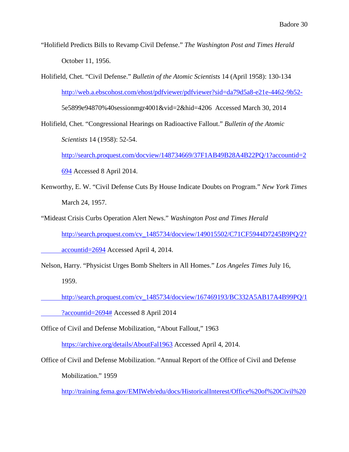- "Holifield Predicts Bills to Revamp Civil Defense." *The Washington Post and Times Herald* October 11, 1956.
- Holifield, Chet. "Civil Defense." *Bulletin of the Atomic Scientists* 14 (April 1958): 130-134 <http://web.a.ebscohost.com/ehost/pdfviewer/pdfviewer?sid=da79d5a8-e21e-4462-9b52-> 5e5899e94870%40sessionmgr4001&vid=2&hid=4206 Accessed March 30, 2014
- Holifield, Chet. "Congressional Hearings on Radioactive Fallout." *Bulletin of the Atomic Scientists* 14 (1958): 52-54.

[http://search.proquest.com/docview/148734669/37F1AB49B28A4B22PQ/1?accountid=2](http://search.proquest.com/docview/148734669/37F1AB49B28A4B22PQ/1?accountid=2694)

[694](http://search.proquest.com/docview/148734669/37F1AB49B28A4B22PQ/1?accountid=2694) Accessed 8 April 2014.

- Kenworthy, E. W. "Civil Defense Cuts By House Indicate Doubts on Program." *New York Times* March 24, 1957.
- "Mideast Crisis Curbs Operation Alert News." *Washington Post and Times Herald* [http://search.proquest.com/cv\\_1485734/docview/149015502/C71CF5944D7245B9PQ/2?](http://search.proquest.com/cv_1485734/docview/149015502/C71CF5944D7245B9PQ/2?accountid=2694)

[accountid=2694](http://search.proquest.com/cv_1485734/docview/149015502/C71CF5944D7245B9PQ/2?accountid=2694) Accessed April 4, 2014.

Nelson, Harry. "Physicist Urges Bomb Shelters in All Homes." *Los Angeles Times* July 16, 1959.

http://search.proquest.com/cv\_1485734/docview/167469193/BC332A5AB17A4B99PQ/1 ?accountid=2694# Accessed 8 April 2014

Office of Civil and Defense Mobilization, "About Fallout," 1963

<https://archive.org/details/AboutFal1963> Accessed April 4, 2014.

Office of Civil and Defense Mobilization. "Annual Report of the Office of Civil and Defense

Mobilization." 1959

[http://training.fema.gov/EMIWeb/edu/docs/HistoricalInterest/Office%20of%20Civil%20](http://training.fema.gov/EMIWeb/edu/docs/HistoricalInterest/Office%20of%20Civil%20and%20%09Defense%20Mobilization%20-%201959%20-%20Annual%20Rep.pdf)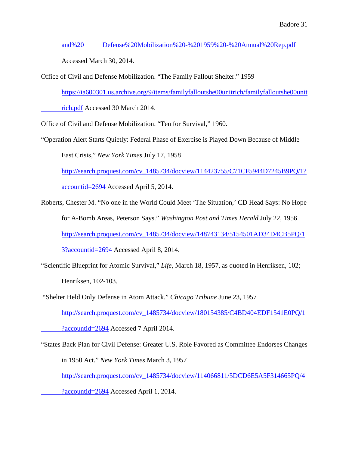and%20 [Defense%20Mobilization%20-%201959%20-%20Annual%20Rep.pdf](http://training.fema.gov/EMIWeb/edu/docs/HistoricalInterest/Office%20of%20Civil%20and%20%09Defense%20Mobilization%20-%201959%20-%20Annual%20Rep.pdf)

Accessed March 30, 2014.

Office of Civil and Defense Mobilization. "The Family Fallout Shelter." 1959

[https://ia600301.us.archive.org/9/items/familyfalloutshe00unitrich/familyfalloutshe00unit](https://ia600301.us.archive.org/9/items/familyfalloutshe00unitrich/familyfalloutshe00unitrich.pdf)

[rich.pdf](https://ia600301.us.archive.org/9/items/familyfalloutshe00unitrich/familyfalloutshe00unitrich.pdf) Accessed 30 March 2014.

Office of Civil and Defense Mobilization. "Ten for Survival," 1960.

"Operation Alert Starts Quietly: Federal Phase of Exercise is Played Down Because of Middle East Crisis," *New York Times* July 17, 1958

[http://search.proquest.com/cv\\_1485734/docview/114423755/C71CF5944D7245B9PQ/1?](http://search.proquest.com/cv_1485734/docview/114423755/C71CF5944D7245B9PQ/1?accountid=2694)

[accountid=2694](http://search.proquest.com/cv_1485734/docview/114423755/C71CF5944D7245B9PQ/1?accountid=2694) Accessed April 5, 2014.

Roberts, Chester M. "No one in the World Could Meet 'The Situation,' CD Head Says: No Hope for A-Bomb Areas, Peterson Says." *Washington Post and Times Herald* July 22, 1956 [http://search.proquest.com/cv\\_1485734/docview/148743134/5154501AD34D4CB5PQ/1](http://search.proquest.com/cv_1485734/docview/148743134/5154501AD34D4CB5PQ/13?accountid=2694) [3?accountid=2694](http://search.proquest.com/cv_1485734/docview/148743134/5154501AD34D4CB5PQ/13?accountid=2694) Accessed April 8, 2014.

"Scientific Blueprint for Atomic Survival," *Life*, March 18, 1957, as quoted in Henriksen, 102; Henriksen, 102-103.

"Shelter Held Only Defense in Atom Attack." *Chicago Tribune* June 23, 1957

[http://search.proquest.com/cv\\_1485734/docview/180154385/C4BD404EDF1541E0PQ/1](http://search.proquest.com/cv_1485734/docview/180154385/C4BD404EDF1541E0PQ/1?accountid=2694)

[?accountid=2694](http://search.proquest.com/cv_1485734/docview/180154385/C4BD404EDF1541E0PQ/1?accountid=2694) Accessed 7 April 2014.

"States Back Plan for Civil Defense: Greater U.S. Role Favored as Committee Endorses Changes in 1950 Act." *New York Times* March 3, 1957

[http://search.proquest.com/cv\\_1485734/docview/114066811/5DCD6E5A5F314665PQ/4](http://search.proquest.com/cv_1485734/docview/114066811/5DCD6E5A5F314665PQ/4?accountid=2694)

[?accountid=2694](http://search.proquest.com/cv_1485734/docview/114066811/5DCD6E5A5F314665PQ/4?accountid=2694) Accessed April 1, 2014.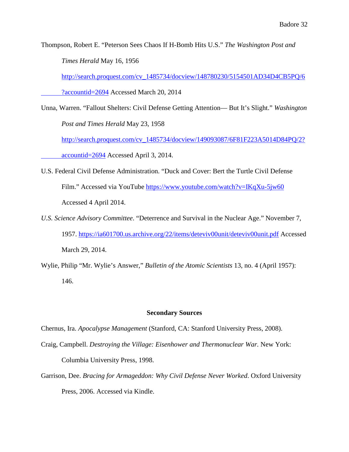Thompson, Robert E. "Peterson Sees Chaos If H-Bomb Hits U.S." *The Washington Post and Times Herald* May 16, 1956

[http://search.proquest.com/cv\\_1485734/docview/148780230/5154501AD34D4CB5PQ/6](http://search.proquest.com/cv_1485734/docview/148780230/5154501AD34D4CB5PQ/6?accountid=2694)

[?accountid=2694](http://search.proquest.com/cv_1485734/docview/148780230/5154501AD34D4CB5PQ/6?accountid=2694) Accessed March 20, 2014

Unna, Warren. "Fallout Shelters: Civil Defense Getting Attention— But It's Slight." *Washington Post and Times Herald* May 23, 1958

[http://search.proquest.com/cv\\_1485734/docview/149093087/6F81F223A5014D84PQ/2?](http://search.proquest.com/cv_1485734/docview/149093087/6F81F223A5014D84PQ/2?accountid=2694) [accountid=2694](http://search.proquest.com/cv_1485734/docview/149093087/6F81F223A5014D84PQ/2?accountid=2694) Accessed April 3, 2014.

- U.S. Federal Civil Defense Administration. "Duck and Cover: Bert the Turtle Civil Defense Film." Accessed via YouTube<https://www.youtube.com/watch?v=IKqXu-5jw60> Accessed 4 April 2014.
- *U.S. Science Advisory Committee*. "Deterrence and Survival in the Nuclear Age." November 7, 1957.<https://ia601700.us.archive.org/22/items/deteviv00unit/deteviv00unit.pdf> Accessed March 29, 2014.
- Wylie, Philip "Mr. Wylie's Answer," *Bulletin of the Atomic Scientists* 13, no. 4 (April 1957): 146.

#### **Secondary Sources**

Chernus, Ira. *Apocalypse Management* (Stanford, CA: Stanford University Press, 2008).

- Craig, Campbell. *Destroying the Village: Eisenhower and Thermonuclear War.* New York: Columbia University Press, 1998.
- Garrison, Dee. *Bracing for Armageddon: Why Civil Defense Never Worked*. Oxford University Press, 2006. Accessed via Kindle.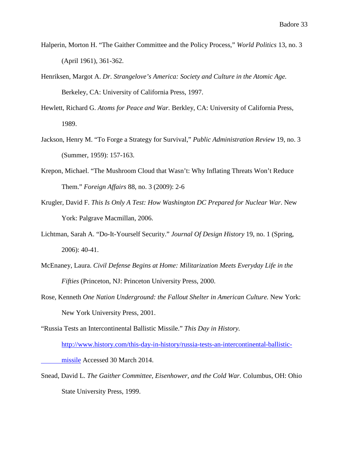- Halperin, Morton H. "The Gaither Committee and the Policy Process," *World Politics* 13, no. 3 (April 1961), 361-362.
- Henriksen, Margot A. *Dr. Strangelove's America: Society and Culture in the Atomic Age.* Berkeley, CA: University of California Press, 1997.
- Hewlett, Richard G. *Atoms for Peace and War.* Berkley, CA: University of California Press, 1989.
- Jackson, Henry M. "To Forge a Strategy for Survival," *Public Administration Review* 19, no. 3 (Summer, 1959): 157-163.
- Krepon, Michael. "The Mushroom Cloud that Wasn't: Why Inflating Threats Won't Reduce Them." *Foreign Affairs* 88, no. 3 (2009): 2-6
- Krugler, David F. *This Is Only A Test: How Washington DC Prepared for Nuclear War*. New York: Palgrave Macmillan, 2006.
- Lichtman, Sarah A. "Do-It-Yourself Security." *Journal Of Design History* 19, no. 1 (Spring, 2006): 40-41.
- McEnaney, Laura. *Civil Defense Begins at Home: Militarization Meets Everyday Life in the Fifties* (Princeton, NJ: Princeton University Press, 2000.
- Rose, Kenneth *One Nation Underground: the Fallout Shelter in American Culture.* New York: New York University Press, 2001.
- "Russia Tests an Intercontinental Ballistic Missile." *This Day in History.*

[http://www.history.com/this-day-in-history/russia-tests-an-intercontinental-ballistic-](http://www.history.com/this-day-in-history/russia-tests-an-intercontinental-ballistic-missile)

[missile](http://www.history.com/this-day-in-history/russia-tests-an-intercontinental-ballistic-missile) Accessed 30 March 2014.

Snead, David L. *The Gaither Committee, Eisenhower, and the Cold War.* Columbus, OH: Ohio State University Press, 1999.